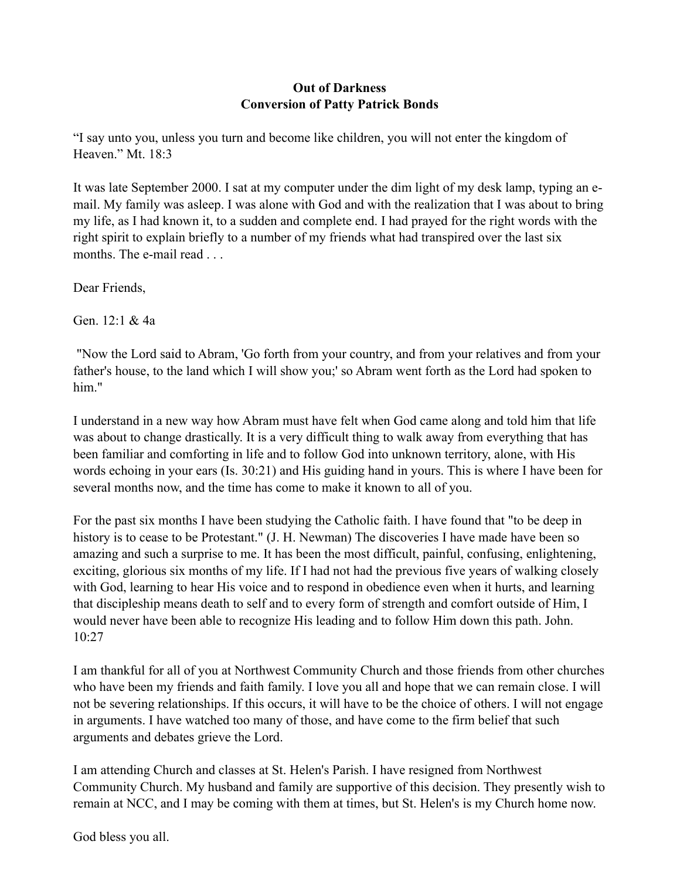## **Out of Darkness Conversion of Patty Patrick Bonds**

"I say unto you, unless you turn and become like children, you will not enter the kingdom of Heaven." Mt. 18:3

It was late September 2000. I sat at my computer under the dim light of my desk lamp, typing an email. My family was asleep. I was alone with God and with the realization that I was about to bring my life, as I had known it, to a sudden and complete end. I had prayed for the right words with the right spirit to explain briefly to a number of my friends what had transpired over the last six months. The e-mail read . . .

Dear Friends,

Gen. 12:1 & 4a

 "Now the Lord said to Abram, 'Go forth from your country, and from your relatives and from your father's house, to the land which I will show you;' so Abram went forth as the Lord had spoken to him."

I understand in a new way how Abram must have felt when God came along and told him that life was about to change drastically. It is a very difficult thing to walk away from everything that has been familiar and comforting in life and to follow God into unknown territory, alone, with His words echoing in your ears (Is. 30:21) and His guiding hand in yours. This is where I have been for several months now, and the time has come to make it known to all of you.

For the past six months I have been studying the Catholic faith. I have found that "to be deep in history is to cease to be Protestant." (J. H. Newman) The discoveries I have made have been so amazing and such a surprise to me. It has been the most difficult, painful, confusing, enlightening, exciting, glorious six months of my life. If I had not had the previous five years of walking closely with God, learning to hear His voice and to respond in obedience even when it hurts, and learning that discipleship means death to self and to every form of strength and comfort outside of Him, I would never have been able to recognize His leading and to follow Him down this path. John. 10:27

I am thankful for all of you at Northwest Community Church and those friends from other churches who have been my friends and faith family. I love you all and hope that we can remain close. I will not be severing relationships. If this occurs, it will have to be the choice of others. I will not engage in arguments. I have watched too many of those, and have come to the firm belief that such arguments and debates grieve the Lord.

I am attending Church and classes at St. Helen's Parish. I have resigned from Northwest Community Church. My husband and family are supportive of this decision. They presently wish to remain at NCC, and I may be coming with them at times, but St. Helen's is my Church home now.

God bless you all.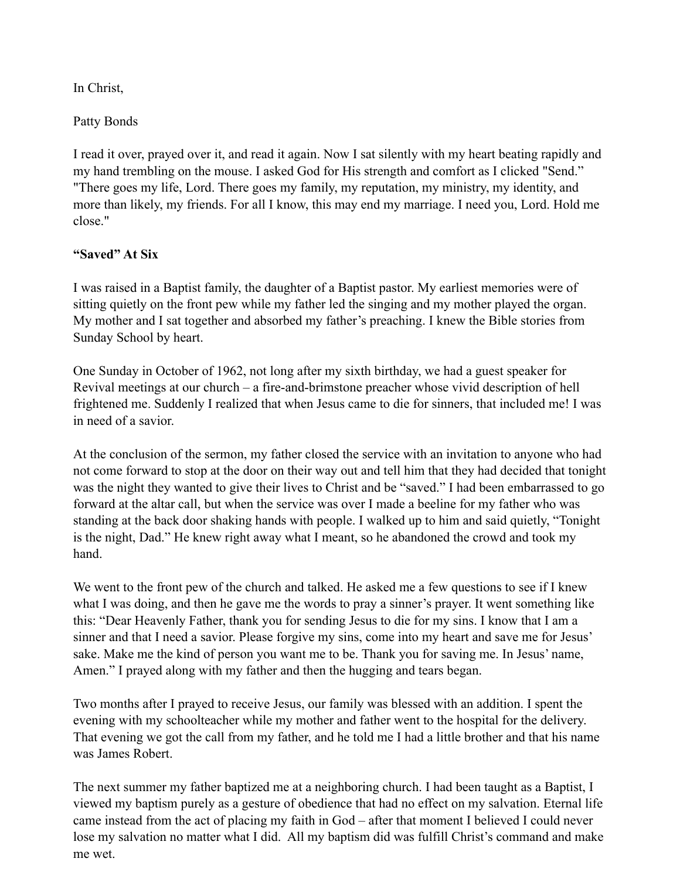In Christ,

Patty Bonds

I read it over, prayed over it, and read it again. Now I sat silently with my heart beating rapidly and my hand trembling on the mouse. I asked God for His strength and comfort as I clicked "Send." "There goes my life, Lord. There goes my family, my reputation, my ministry, my identity, and more than likely, my friends. For all I know, this may end my marriage. I need you, Lord. Hold me close."

## **"Saved" At Six**

I was raised in a Baptist family, the daughter of a Baptist pastor. My earliest memories were of sitting quietly on the front pew while my father led the singing and my mother played the organ. My mother and I sat together and absorbed my father's preaching. I knew the Bible stories from Sunday School by heart.

One Sunday in October of 1962, not long after my sixth birthday, we had a guest speaker for Revival meetings at our church – a fire-and-brimstone preacher whose vivid description of hell frightened me. Suddenly I realized that when Jesus came to die for sinners, that included me! I was in need of a savior.

At the conclusion of the sermon, my father closed the service with an invitation to anyone who had not come forward to stop at the door on their way out and tell him that they had decided that tonight was the night they wanted to give their lives to Christ and be "saved." I had been embarrassed to go forward at the altar call, but when the service was over I made a beeline for my father who was standing at the back door shaking hands with people. I walked up to him and said quietly, "Tonight is the night, Dad." He knew right away what I meant, so he abandoned the crowd and took my hand.

We went to the front pew of the church and talked. He asked me a few questions to see if I knew what I was doing, and then he gave me the words to pray a sinner's prayer. It went something like this: "Dear Heavenly Father, thank you for sending Jesus to die for my sins. I know that I am a sinner and that I need a savior. Please forgive my sins, come into my heart and save me for Jesus' sake. Make me the kind of person you want me to be. Thank you for saving me. In Jesus' name, Amen." I prayed along with my father and then the hugging and tears began.

Two months after I prayed to receive Jesus, our family was blessed with an addition. I spent the evening with my schoolteacher while my mother and father went to the hospital for the delivery. That evening we got the call from my father, and he told me I had a little brother and that his name was James Robert.

The next summer my father baptized me at a neighboring church. I had been taught as a Baptist, I viewed my baptism purely as a gesture of obedience that had no effect on my salvation. Eternal life came instead from the act of placing my faith in God – after that moment I believed I could never lose my salvation no matter what I did. All my baptism did was fulfill Christ's command and make me wet.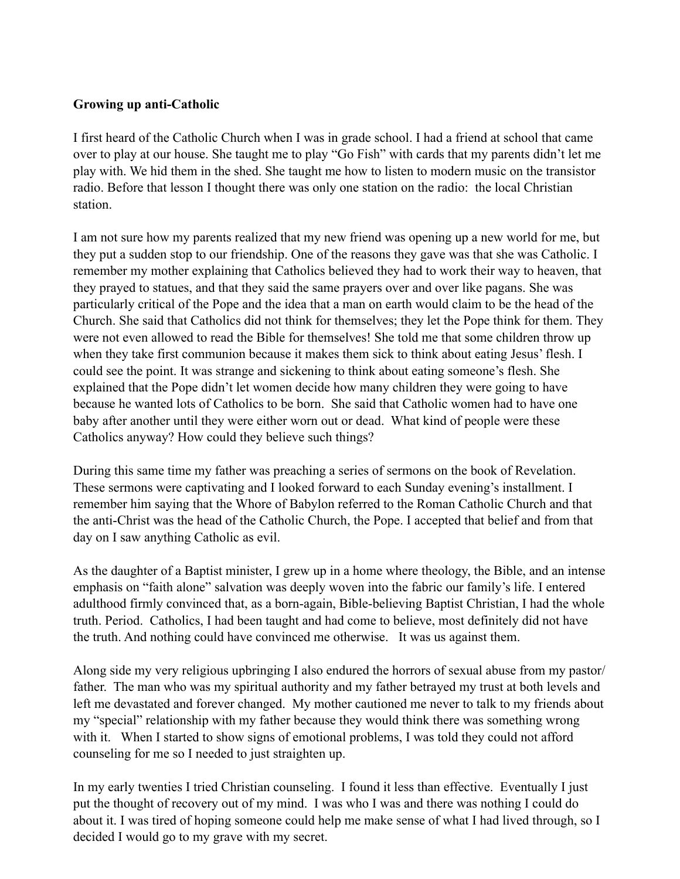### **Growing up anti-Catholic**

I first heard of the Catholic Church when I was in grade school. I had a friend at school that came over to play at our house. She taught me to play "Go Fish" with cards that my parents didn't let me play with. We hid them in the shed. She taught me how to listen to modern music on the transistor radio. Before that lesson I thought there was only one station on the radio: the local Christian station.

I am not sure how my parents realized that my new friend was opening up a new world for me, but they put a sudden stop to our friendship. One of the reasons they gave was that she was Catholic. I remember my mother explaining that Catholics believed they had to work their way to heaven, that they prayed to statues, and that they said the same prayers over and over like pagans. She was particularly critical of the Pope and the idea that a man on earth would claim to be the head of the Church. She said that Catholics did not think for themselves; they let the Pope think for them. They were not even allowed to read the Bible for themselves! She told me that some children throw up when they take first communion because it makes them sick to think about eating Jesus' flesh. I could see the point. It was strange and sickening to think about eating someone's flesh. She explained that the Pope didn't let women decide how many children they were going to have because he wanted lots of Catholics to be born. She said that Catholic women had to have one baby after another until they were either worn out or dead. What kind of people were these Catholics anyway? How could they believe such things?

During this same time my father was preaching a series of sermons on the book of Revelation. These sermons were captivating and I looked forward to each Sunday evening's installment. I remember him saying that the Whore of Babylon referred to the Roman Catholic Church and that the anti-Christ was the head of the Catholic Church, the Pope. I accepted that belief and from that day on I saw anything Catholic as evil.

As the daughter of a Baptist minister, I grew up in a home where theology, the Bible, and an intense emphasis on "faith alone" salvation was deeply woven into the fabric our family's life. I entered adulthood firmly convinced that, as a born-again, Bible-believing Baptist Christian, I had the whole truth. Period. Catholics, I had been taught and had come to believe, most definitely did not have the truth. And nothing could have convinced me otherwise. It was us against them.

Along side my very religious upbringing I also endured the horrors of sexual abuse from my pastor/ father. The man who was my spiritual authority and my father betrayed my trust at both levels and left me devastated and forever changed. My mother cautioned me never to talk to my friends about my "special" relationship with my father because they would think there was something wrong with it. When I started to show signs of emotional problems, I was told they could not afford counseling for me so I needed to just straighten up.

In my early twenties I tried Christian counseling. I found it less than effective. Eventually I just put the thought of recovery out of my mind. I was who I was and there was nothing I could do about it. I was tired of hoping someone could help me make sense of what I had lived through, so I decided I would go to my grave with my secret.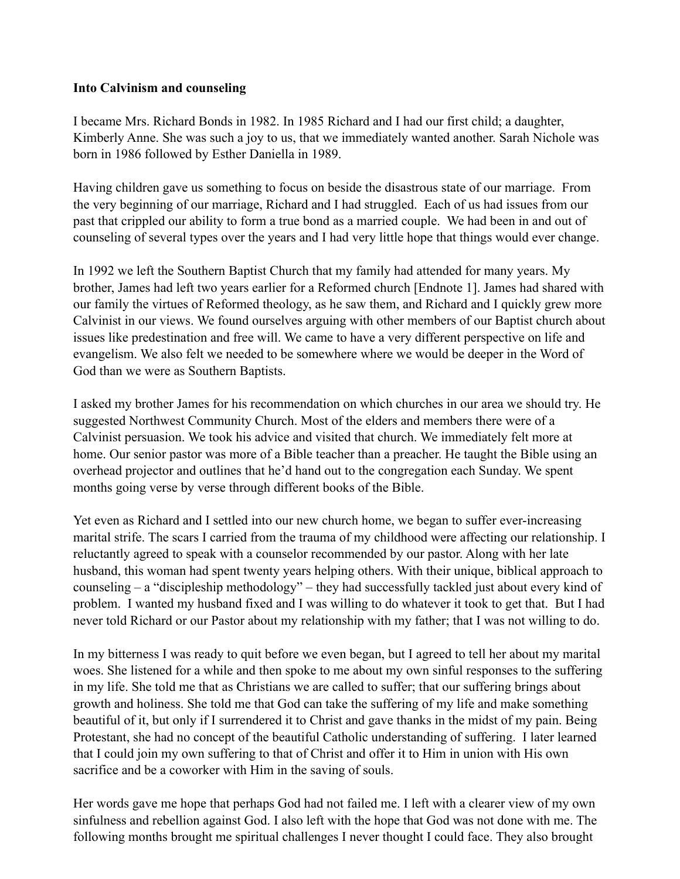#### **Into Calvinism and counseling**

I became Mrs. Richard Bonds in 1982. In 1985 Richard and I had our first child; a daughter, Kimberly Anne. She was such a joy to us, that we immediately wanted another. Sarah Nichole was born in 1986 followed by Esther Daniella in 1989.

Having children gave us something to focus on beside the disastrous state of our marriage. From the very beginning of our marriage, Richard and I had struggled. Each of us had issues from our past that crippled our ability to form a true bond as a married couple. We had been in and out of counseling of several types over the years and I had very little hope that things would ever change.

In 1992 we left the Southern Baptist Church that my family had attended for many years. My brother, James had left two years earlier for a Reformed church [Endnote 1]. James had shared with our family the virtues of Reformed theology, as he saw them, and Richard and I quickly grew more Calvinist in our views. We found ourselves arguing with other members of our Baptist church about issues like predestination and free will. We came to have a very different perspective on life and evangelism. We also felt we needed to be somewhere where we would be deeper in the Word of God than we were as Southern Baptists.

I asked my brother James for his recommendation on which churches in our area we should try. He suggested Northwest Community Church. Most of the elders and members there were of a Calvinist persuasion. We took his advice and visited that church. We immediately felt more at home. Our senior pastor was more of a Bible teacher than a preacher. He taught the Bible using an overhead projector and outlines that he'd hand out to the congregation each Sunday. We spent months going verse by verse through different books of the Bible.

Yet even as Richard and I settled into our new church home, we began to suffer ever-increasing marital strife. The scars I carried from the trauma of my childhood were affecting our relationship. I reluctantly agreed to speak with a counselor recommended by our pastor. Along with her late husband, this woman had spent twenty years helping others. With their unique, biblical approach to counseling – a "discipleship methodology" – they had successfully tackled just about every kind of problem. I wanted my husband fixed and I was willing to do whatever it took to get that. But I had never told Richard or our Pastor about my relationship with my father; that I was not willing to do.

In my bitterness I was ready to quit before we even began, but I agreed to tell her about my marital woes. She listened for a while and then spoke to me about my own sinful responses to the suffering in my life. She told me that as Christians we are called to suffer; that our suffering brings about growth and holiness. She told me that God can take the suffering of my life and make something beautiful of it, but only if I surrendered it to Christ and gave thanks in the midst of my pain. Being Protestant, she had no concept of the beautiful Catholic understanding of suffering. I later learned that I could join my own suffering to that of Christ and offer it to Him in union with His own sacrifice and be a coworker with Him in the saving of souls.

Her words gave me hope that perhaps God had not failed me. I left with a clearer view of my own sinfulness and rebellion against God. I also left with the hope that God was not done with me. The following months brought me spiritual challenges I never thought I could face. They also brought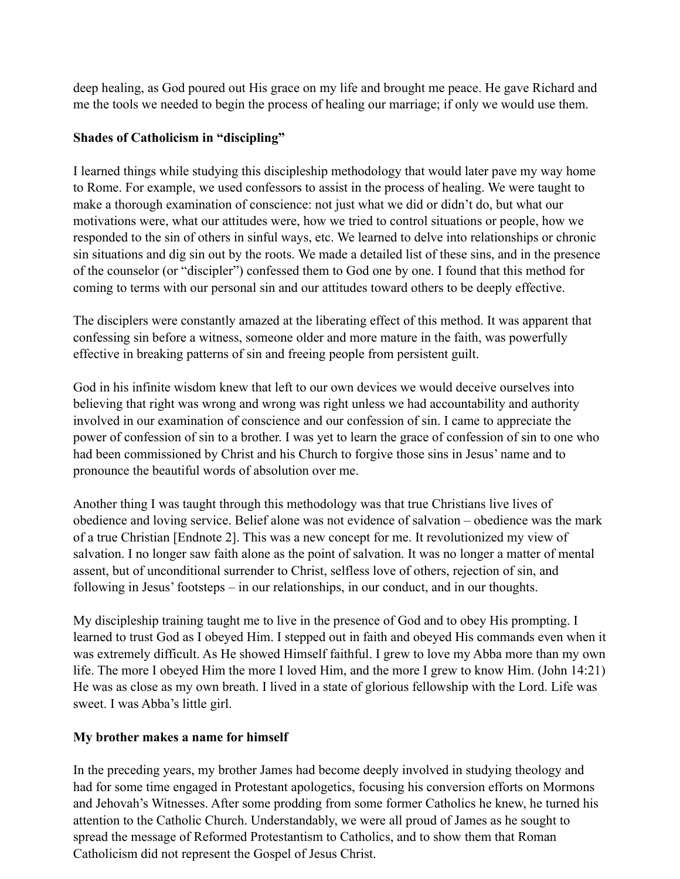deep healing, as God poured out His grace on my life and brought me peace. He gave Richard and me the tools we needed to begin the process of healing our marriage; if only we would use them.

## **Shades of Catholicism in "discipling"**

I learned things while studying this discipleship methodology that would later pave my way home to Rome. For example, we used confessors to assist in the process of healing. We were taught to make a thorough examination of conscience: not just what we did or didn't do, but what our motivations were, what our attitudes were, how we tried to control situations or people, how we responded to the sin of others in sinful ways, etc. We learned to delve into relationships or chronic sin situations and dig sin out by the roots. We made a detailed list of these sins, and in the presence of the counselor (or "discipler") confessed them to God one by one. I found that this method for coming to terms with our personal sin and our attitudes toward others to be deeply effective.

The disciplers were constantly amazed at the liberating effect of this method. It was apparent that confessing sin before a witness, someone older and more mature in the faith, was powerfully effective in breaking patterns of sin and freeing people from persistent guilt.

God in his infinite wisdom knew that left to our own devices we would deceive ourselves into believing that right was wrong and wrong was right unless we had accountability and authority involved in our examination of conscience and our confession of sin. I came to appreciate the power of confession of sin to a brother. I was yet to learn the grace of confession of sin to one who had been commissioned by Christ and his Church to forgive those sins in Jesus' name and to pronounce the beautiful words of absolution over me.

Another thing I was taught through this methodology was that true Christians live lives of obedience and loving service. Belief alone was not evidence of salvation – obedience was the mark of a true Christian [Endnote 2]. This was a new concept for me. It revolutionized my view of salvation. I no longer saw faith alone as the point of salvation. It was no longer a matter of mental assent, but of unconditional surrender to Christ, selfless love of others, rejection of sin, and following in Jesus' footsteps – in our relationships, in our conduct, and in our thoughts.

My discipleship training taught me to live in the presence of God and to obey His prompting. I learned to trust God as I obeyed Him. I stepped out in faith and obeyed His commands even when it was extremely difficult. As He showed Himself faithful. I grew to love my Abba more than my own life. The more I obeyed Him the more I loved Him, and the more I grew to know Him. (John 14:21) He was as close as my own breath. I lived in a state of glorious fellowship with the Lord. Life was sweet. I was Abba's little girl.

# **My brother makes a name for himself**

In the preceding years, my brother James had become deeply involved in studying theology and had for some time engaged in Protestant apologetics, focusing his conversion efforts on Mormons and Jehovah's Witnesses. After some prodding from some former Catholics he knew, he turned his attention to the Catholic Church. Understandably, we were all proud of James as he sought to spread the message of Reformed Protestantism to Catholics, and to show them that Roman Catholicism did not represent the Gospel of Jesus Christ.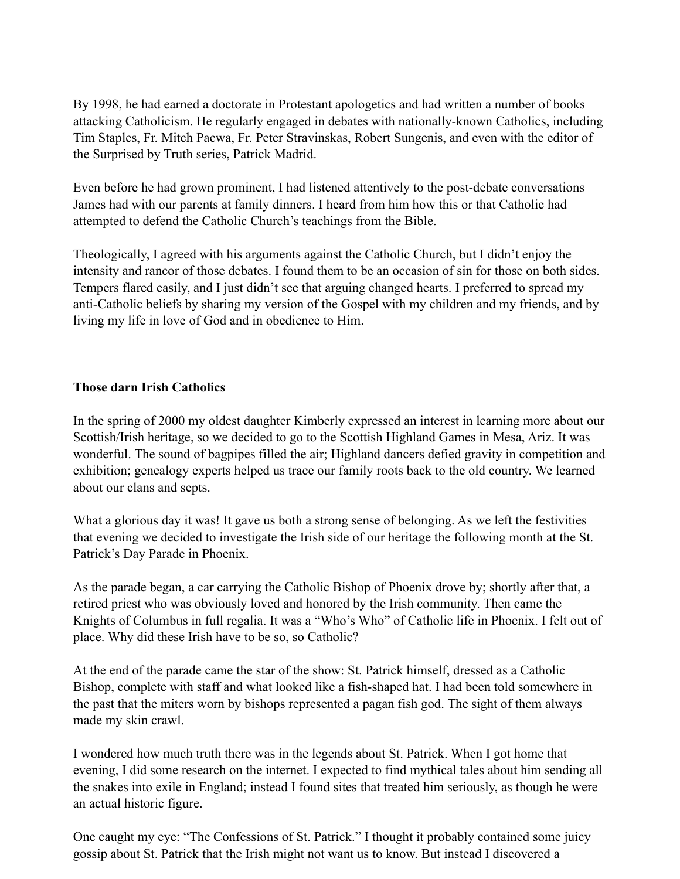By 1998, he had earned a doctorate in Protestant apologetics and had written a number of books attacking Catholicism. He regularly engaged in debates with nationally-known Catholics, including Tim Staples, Fr. Mitch Pacwa, Fr. Peter Stravinskas, Robert Sungenis, and even with the editor of the Surprised by Truth series, Patrick Madrid.

Even before he had grown prominent, I had listened attentively to the post-debate conversations James had with our parents at family dinners. I heard from him how this or that Catholic had attempted to defend the Catholic Church's teachings from the Bible.

Theologically, I agreed with his arguments against the Catholic Church, but I didn't enjoy the intensity and rancor of those debates. I found them to be an occasion of sin for those on both sides. Tempers flared easily, and I just didn't see that arguing changed hearts. I preferred to spread my anti-Catholic beliefs by sharing my version of the Gospel with my children and my friends, and by living my life in love of God and in obedience to Him.

## **Those darn Irish Catholics**

In the spring of 2000 my oldest daughter Kimberly expressed an interest in learning more about our Scottish/Irish heritage, so we decided to go to the Scottish Highland Games in Mesa, Ariz. It was wonderful. The sound of bagpipes filled the air; Highland dancers defied gravity in competition and exhibition; genealogy experts helped us trace our family roots back to the old country. We learned about our clans and septs.

What a glorious day it was! It gave us both a strong sense of belonging. As we left the festivities that evening we decided to investigate the Irish side of our heritage the following month at the St. Patrick's Day Parade in Phoenix.

As the parade began, a car carrying the Catholic Bishop of Phoenix drove by; shortly after that, a retired priest who was obviously loved and honored by the Irish community. Then came the Knights of Columbus in full regalia. It was a "Who's Who" of Catholic life in Phoenix. I felt out of place. Why did these Irish have to be so, so Catholic?

At the end of the parade came the star of the show: St. Patrick himself, dressed as a Catholic Bishop, complete with staff and what looked like a fish-shaped hat. I had been told somewhere in the past that the miters worn by bishops represented a pagan fish god. The sight of them always made my skin crawl.

I wondered how much truth there was in the legends about St. Patrick. When I got home that evening, I did some research on the internet. I expected to find mythical tales about him sending all the snakes into exile in England; instead I found sites that treated him seriously, as though he were an actual historic figure.

One caught my eye: "The Confessions of St. Patrick." I thought it probably contained some juicy gossip about St. Patrick that the Irish might not want us to know. But instead I discovered a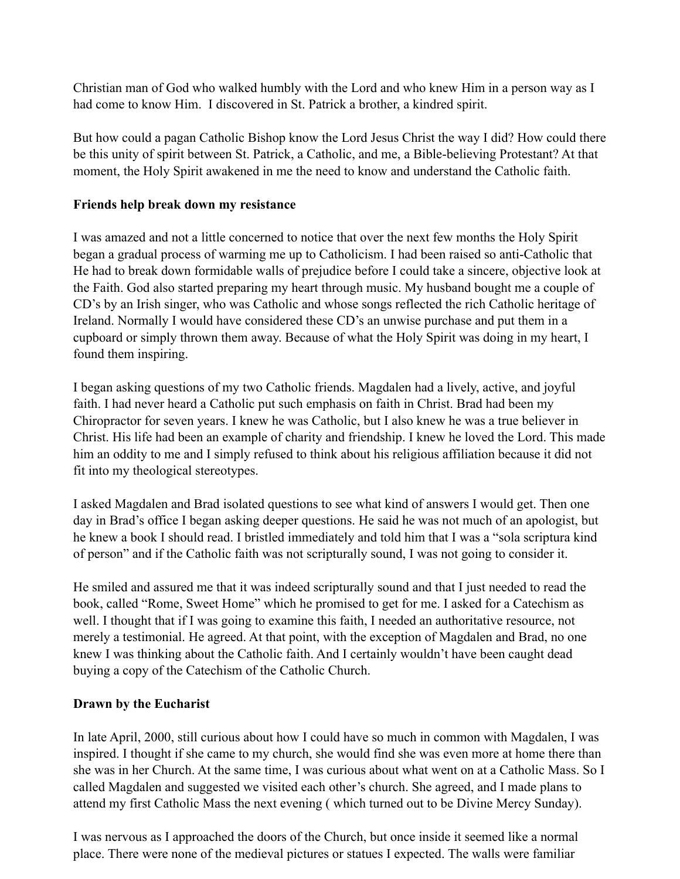Christian man of God who walked humbly with the Lord and who knew Him in a person way as I had come to know Him. I discovered in St. Patrick a brother, a kindred spirit.

But how could a pagan Catholic Bishop know the Lord Jesus Christ the way I did? How could there be this unity of spirit between St. Patrick, a Catholic, and me, a Bible-believing Protestant? At that moment, the Holy Spirit awakened in me the need to know and understand the Catholic faith.

## **Friends help break down my resistance**

I was amazed and not a little concerned to notice that over the next few months the Holy Spirit began a gradual process of warming me up to Catholicism. I had been raised so anti-Catholic that He had to break down formidable walls of prejudice before I could take a sincere, objective look at the Faith. God also started preparing my heart through music. My husband bought me a couple of CD's by an Irish singer, who was Catholic and whose songs reflected the rich Catholic heritage of Ireland. Normally I would have considered these CD's an unwise purchase and put them in a cupboard or simply thrown them away. Because of what the Holy Spirit was doing in my heart, I found them inspiring.

I began asking questions of my two Catholic friends. Magdalen had a lively, active, and joyful faith. I had never heard a Catholic put such emphasis on faith in Christ. Brad had been my Chiropractor for seven years. I knew he was Catholic, but I also knew he was a true believer in Christ. His life had been an example of charity and friendship. I knew he loved the Lord. This made him an oddity to me and I simply refused to think about his religious affiliation because it did not fit into my theological stereotypes.

I asked Magdalen and Brad isolated questions to see what kind of answers I would get. Then one day in Brad's office I began asking deeper questions. He said he was not much of an apologist, but he knew a book I should read. I bristled immediately and told him that I was a "sola scriptura kind of person" and if the Catholic faith was not scripturally sound, I was not going to consider it.

He smiled and assured me that it was indeed scripturally sound and that I just needed to read the book, called "Rome, Sweet Home" which he promised to get for me. I asked for a Catechism as well. I thought that if I was going to examine this faith, I needed an authoritative resource, not merely a testimonial. He agreed. At that point, with the exception of Magdalen and Brad, no one knew I was thinking about the Catholic faith. And I certainly wouldn't have been caught dead buying a copy of the Catechism of the Catholic Church.

# **Drawn by the Eucharist**

In late April, 2000, still curious about how I could have so much in common with Magdalen, I was inspired. I thought if she came to my church, she would find she was even more at home there than she was in her Church. At the same time, I was curious about what went on at a Catholic Mass. So I called Magdalen and suggested we visited each other's church. She agreed, and I made plans to attend my first Catholic Mass the next evening ( which turned out to be Divine Mercy Sunday).

I was nervous as I approached the doors of the Church, but once inside it seemed like a normal place. There were none of the medieval pictures or statues I expected. The walls were familiar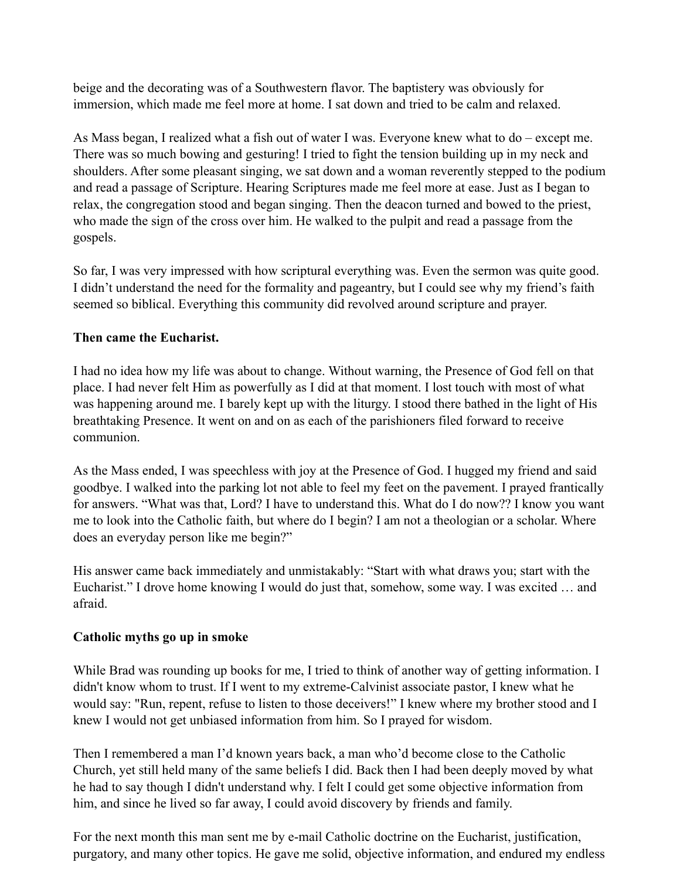beige and the decorating was of a Southwestern flavor. The baptistery was obviously for immersion, which made me feel more at home. I sat down and tried to be calm and relaxed.

As Mass began, I realized what a fish out of water I was. Everyone knew what to do – except me. There was so much bowing and gesturing! I tried to fight the tension building up in my neck and shoulders. After some pleasant singing, we sat down and a woman reverently stepped to the podium and read a passage of Scripture. Hearing Scriptures made me feel more at ease. Just as I began to relax, the congregation stood and began singing. Then the deacon turned and bowed to the priest, who made the sign of the cross over him. He walked to the pulpit and read a passage from the gospels.

So far, I was very impressed with how scriptural everything was. Even the sermon was quite good. I didn't understand the need for the formality and pageantry, but I could see why my friend's faith seemed so biblical. Everything this community did revolved around scripture and prayer.

## **Then came the Eucharist.**

I had no idea how my life was about to change. Without warning, the Presence of God fell on that place. I had never felt Him as powerfully as I did at that moment. I lost touch with most of what was happening around me. I barely kept up with the liturgy. I stood there bathed in the light of His breathtaking Presence. It went on and on as each of the parishioners filed forward to receive communion.

As the Mass ended, I was speechless with joy at the Presence of God. I hugged my friend and said goodbye. I walked into the parking lot not able to feel my feet on the pavement. I prayed frantically for answers. "What was that, Lord? I have to understand this. What do I do now?? I know you want me to look into the Catholic faith, but where do I begin? I am not a theologian or a scholar. Where does an everyday person like me begin?"

His answer came back immediately and unmistakably: "Start with what draws you; start with the Eucharist." I drove home knowing I would do just that, somehow, some way. I was excited … and afraid.

# **Catholic myths go up in smoke**

While Brad was rounding up books for me, I tried to think of another way of getting information. I didn't know whom to trust. If I went to my extreme-Calvinist associate pastor, I knew what he would say: "Run, repent, refuse to listen to those deceivers!" I knew where my brother stood and I knew I would not get unbiased information from him. So I prayed for wisdom.

Then I remembered a man I'd known years back, a man who'd become close to the Catholic Church, yet still held many of the same beliefs I did. Back then I had been deeply moved by what he had to say though I didn't understand why. I felt I could get some objective information from him, and since he lived so far away, I could avoid discovery by friends and family.

For the next month this man sent me by e-mail Catholic doctrine on the Eucharist, justification, purgatory, and many other topics. He gave me solid, objective information, and endured my endless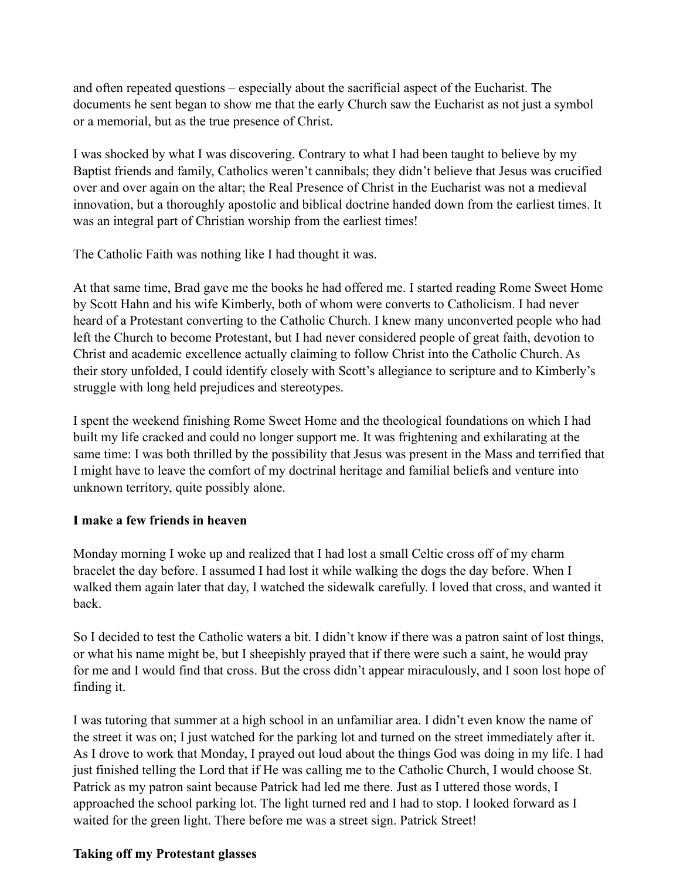and often repeated questions – especially about the sacrificial aspect of the Eucharist. The documents he sent began to show me that the early Church saw the Eucharist as not just a symbol or a memorial, but as the true presence of Christ.

I was shocked by what I was discovering. Contrary to what I had been taught to believe by my Baptist friends and family, Catholics weren't cannibals; they didn't believe that Jesus was crucified over and over again on the altar; the Real Presence of Christ in the Eucharist was not a medieval innovation, but a thoroughly apostolic and biblical doctrine handed down from the earliest times. It was an integral part of Christian worship from the earliest times!

The Catholic Faith was nothing like I had thought it was.

At that same time, Brad gave me the books he had offered me. I started reading Rome Sweet Home by Scott Hahn and his wife Kimberly, both of whom were converts to Catholicism. I had never heard of a Protestant converting to the Catholic Church. I knew many unconverted people who had left the Church to become Protestant, but I had never considered people of great faith, devotion to Christ and academic excellence actually claiming to follow Christ into the Catholic Church. As their story unfolded, I could identify closely with Scott's allegiance to scripture and to Kimberly's struggle with long held prejudices and stereotypes.

I spent the weekend finishing Rome Sweet Home and the theological foundations on which I had built my life cracked and could no longer support me. It was frightening and exhilarating at the same time: I was both thrilled by the possibility that Jesus was present in the Mass and terrified that I might have to leave the comfort of my doctrinal heritage and familial beliefs and venture into unknown territory, quite possibly alone.

# **I make a few friends in heaven**

Monday morning I woke up and realized that I had lost a small Celtic cross off of my charm bracelet the day before. I assumed I had lost it while walking the dogs the day before. When I walked them again later that day, I watched the sidewalk carefully. I loved that cross, and wanted it back.

So I decided to test the Catholic waters a bit. I didn't know if there was a patron saint of lost things, or what his name might be, but I sheepishly prayed that if there were such a saint, he would pray for me and I would find that cross. But the cross didn't appear miraculously, and I soon lost hope of finding it.

I was tutoring that summer at a high school in an unfamiliar area. I didn't even know the name of the street it was on; I just watched for the parking lot and turned on the street immediately after it. As I drove to work that Monday, I prayed out loud about the things God was doing in my life. I had just finished telling the Lord that if He was calling me to the Catholic Church, I would choose St. Patrick as my patron saint because Patrick had led me there. Just as I uttered those words, I approached the school parking lot. The light turned red and I had to stop. I looked forward as I waited for the green light. There before me was a street sign. Patrick Street!

# **Taking off my Protestant glasses**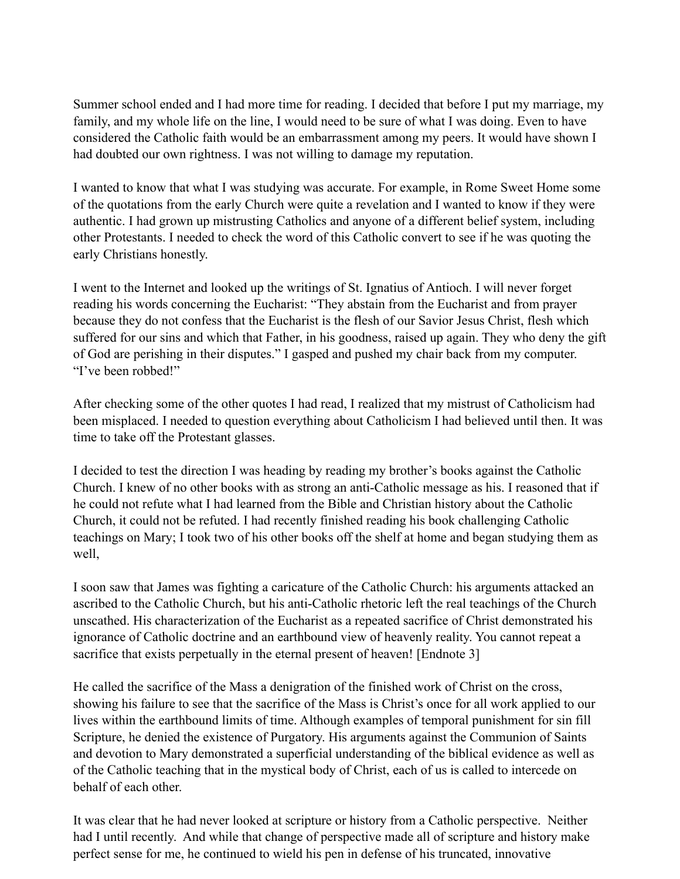Summer school ended and I had more time for reading. I decided that before I put my marriage, my family, and my whole life on the line, I would need to be sure of what I was doing. Even to have considered the Catholic faith would be an embarrassment among my peers. It would have shown I had doubted our own rightness. I was not willing to damage my reputation.

I wanted to know that what I was studying was accurate. For example, in Rome Sweet Home some of the quotations from the early Church were quite a revelation and I wanted to know if they were authentic. I had grown up mistrusting Catholics and anyone of a different belief system, including other Protestants. I needed to check the word of this Catholic convert to see if he was quoting the early Christians honestly.

I went to the Internet and looked up the writings of St. Ignatius of Antioch. I will never forget reading his words concerning the Eucharist: "They abstain from the Eucharist and from prayer because they do not confess that the Eucharist is the flesh of our Savior Jesus Christ, flesh which suffered for our sins and which that Father, in his goodness, raised up again. They who deny the gift of God are perishing in their disputes." I gasped and pushed my chair back from my computer. "I've been robbed!"

After checking some of the other quotes I had read, I realized that my mistrust of Catholicism had been misplaced. I needed to question everything about Catholicism I had believed until then. It was time to take off the Protestant glasses.

I decided to test the direction I was heading by reading my brother's books against the Catholic Church. I knew of no other books with as strong an anti-Catholic message as his. I reasoned that if he could not refute what I had learned from the Bible and Christian history about the Catholic Church, it could not be refuted. I had recently finished reading his book challenging Catholic teachings on Mary; I took two of his other books off the shelf at home and began studying them as well,

I soon saw that James was fighting a caricature of the Catholic Church: his arguments attacked an ascribed to the Catholic Church, but his anti-Catholic rhetoric left the real teachings of the Church unscathed. His characterization of the Eucharist as a repeated sacrifice of Christ demonstrated his ignorance of Catholic doctrine and an earthbound view of heavenly reality. You cannot repeat a sacrifice that exists perpetually in the eternal present of heaven! [Endnote 3]

He called the sacrifice of the Mass a denigration of the finished work of Christ on the cross, showing his failure to see that the sacrifice of the Mass is Christ's once for all work applied to our lives within the earthbound limits of time. Although examples of temporal punishment for sin fill Scripture, he denied the existence of Purgatory. His arguments against the Communion of Saints and devotion to Mary demonstrated a superficial understanding of the biblical evidence as well as of the Catholic teaching that in the mystical body of Christ, each of us is called to intercede on behalf of each other.

It was clear that he had never looked at scripture or history from a Catholic perspective. Neither had I until recently. And while that change of perspective made all of scripture and history make perfect sense for me, he continued to wield his pen in defense of his truncated, innovative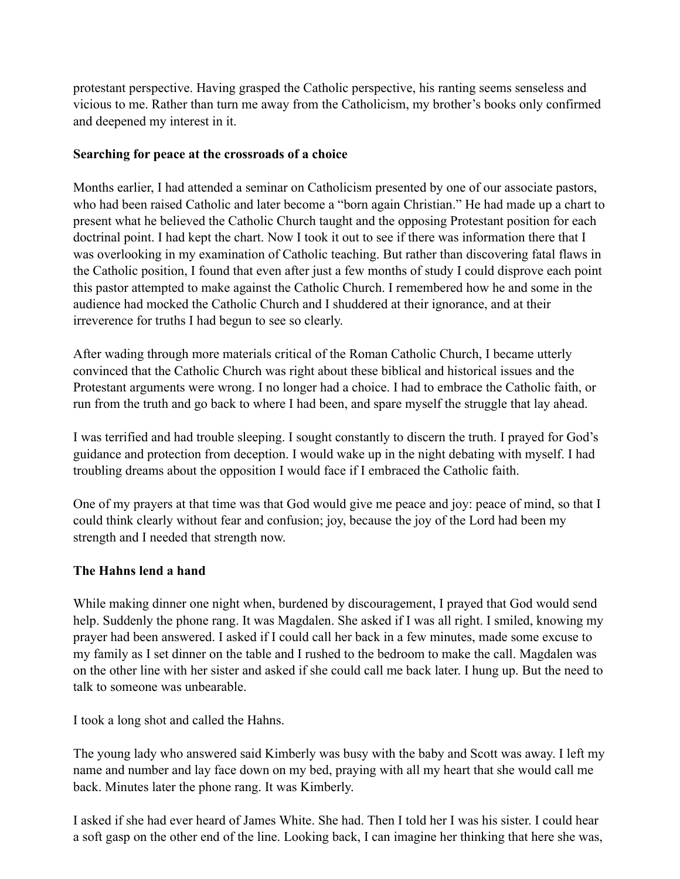protestant perspective. Having grasped the Catholic perspective, his ranting seems senseless and vicious to me. Rather than turn me away from the Catholicism, my brother's books only confirmed and deepened my interest in it.

### **Searching for peace at the crossroads of a choice**

Months earlier, I had attended a seminar on Catholicism presented by one of our associate pastors, who had been raised Catholic and later become a "born again Christian." He had made up a chart to present what he believed the Catholic Church taught and the opposing Protestant position for each doctrinal point. I had kept the chart. Now I took it out to see if there was information there that I was overlooking in my examination of Catholic teaching. But rather than discovering fatal flaws in the Catholic position, I found that even after just a few months of study I could disprove each point this pastor attempted to make against the Catholic Church. I remembered how he and some in the audience had mocked the Catholic Church and I shuddered at their ignorance, and at their irreverence for truths I had begun to see so clearly.

After wading through more materials critical of the Roman Catholic Church, I became utterly convinced that the Catholic Church was right about these biblical and historical issues and the Protestant arguments were wrong. I no longer had a choice. I had to embrace the Catholic faith, or run from the truth and go back to where I had been, and spare myself the struggle that lay ahead.

I was terrified and had trouble sleeping. I sought constantly to discern the truth. I prayed for God's guidance and protection from deception. I would wake up in the night debating with myself. I had troubling dreams about the opposition I would face if I embraced the Catholic faith.

One of my prayers at that time was that God would give me peace and joy: peace of mind, so that I could think clearly without fear and confusion; joy, because the joy of the Lord had been my strength and I needed that strength now.

# **The Hahns lend a hand**

While making dinner one night when, burdened by discouragement, I prayed that God would send help. Suddenly the phone rang. It was Magdalen. She asked if I was all right. I smiled, knowing my prayer had been answered. I asked if I could call her back in a few minutes, made some excuse to my family as I set dinner on the table and I rushed to the bedroom to make the call. Magdalen was on the other line with her sister and asked if she could call me back later. I hung up. But the need to talk to someone was unbearable.

I took a long shot and called the Hahns.

The young lady who answered said Kimberly was busy with the baby and Scott was away. I left my name and number and lay face down on my bed, praying with all my heart that she would call me back. Minutes later the phone rang. It was Kimberly.

I asked if she had ever heard of James White. She had. Then I told her I was his sister. I could hear a soft gasp on the other end of the line. Looking back, I can imagine her thinking that here she was,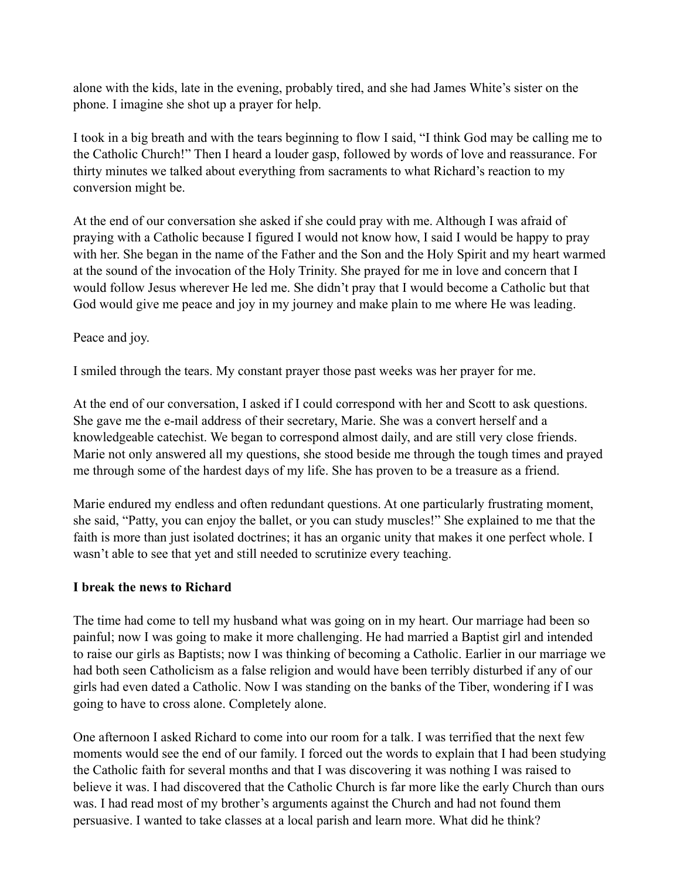alone with the kids, late in the evening, probably tired, and she had James White's sister on the phone. I imagine she shot up a prayer for help.

I took in a big breath and with the tears beginning to flow I said, "I think God may be calling me to the Catholic Church!" Then I heard a louder gasp, followed by words of love and reassurance. For thirty minutes we talked about everything from sacraments to what Richard's reaction to my conversion might be.

At the end of our conversation she asked if she could pray with me. Although I was afraid of praying with a Catholic because I figured I would not know how, I said I would be happy to pray with her. She began in the name of the Father and the Son and the Holy Spirit and my heart warmed at the sound of the invocation of the Holy Trinity. She prayed for me in love and concern that I would follow Jesus wherever He led me. She didn't pray that I would become a Catholic but that God would give me peace and joy in my journey and make plain to me where He was leading.

# Peace and joy.

I smiled through the tears. My constant prayer those past weeks was her prayer for me.

At the end of our conversation, I asked if I could correspond with her and Scott to ask questions. She gave me the e-mail address of their secretary, Marie. She was a convert herself and a knowledgeable catechist. We began to correspond almost daily, and are still very close friends. Marie not only answered all my questions, she stood beside me through the tough times and prayed me through some of the hardest days of my life. She has proven to be a treasure as a friend.

Marie endured my endless and often redundant questions. At one particularly frustrating moment, she said, "Patty, you can enjoy the ballet, or you can study muscles!" She explained to me that the faith is more than just isolated doctrines; it has an organic unity that makes it one perfect whole. I wasn't able to see that yet and still needed to scrutinize every teaching.

### **I break the news to Richard**

The time had come to tell my husband what was going on in my heart. Our marriage had been so painful; now I was going to make it more challenging. He had married a Baptist girl and intended to raise our girls as Baptists; now I was thinking of becoming a Catholic. Earlier in our marriage we had both seen Catholicism as a false religion and would have been terribly disturbed if any of our girls had even dated a Catholic. Now I was standing on the banks of the Tiber, wondering if I was going to have to cross alone. Completely alone.

One afternoon I asked Richard to come into our room for a talk. I was terrified that the next few moments would see the end of our family. I forced out the words to explain that I had been studying the Catholic faith for several months and that I was discovering it was nothing I was raised to believe it was. I had discovered that the Catholic Church is far more like the early Church than ours was. I had read most of my brother's arguments against the Church and had not found them persuasive. I wanted to take classes at a local parish and learn more. What did he think?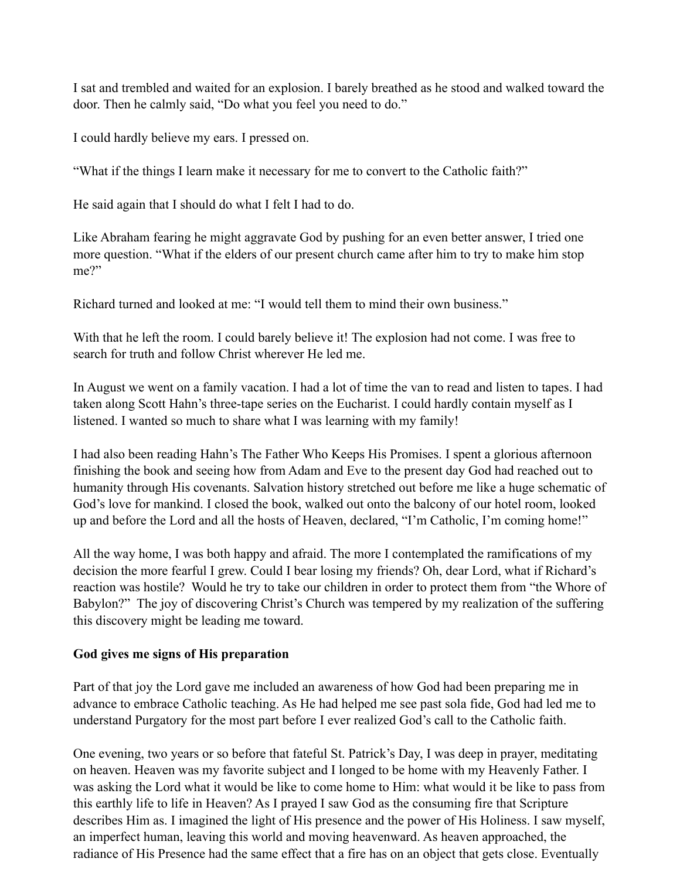I sat and trembled and waited for an explosion. I barely breathed as he stood and walked toward the door. Then he calmly said, "Do what you feel you need to do."

I could hardly believe my ears. I pressed on.

"What if the things I learn make it necessary for me to convert to the Catholic faith?"

He said again that I should do what I felt I had to do.

Like Abraham fearing he might aggravate God by pushing for an even better answer, I tried one more question. "What if the elders of our present church came after him to try to make him stop me?"

Richard turned and looked at me: "I would tell them to mind their own business."

With that he left the room. I could barely believe it! The explosion had not come. I was free to search for truth and follow Christ wherever He led me.

In August we went on a family vacation. I had a lot of time the van to read and listen to tapes. I had taken along Scott Hahn's three-tape series on the Eucharist. I could hardly contain myself as I listened. I wanted so much to share what I was learning with my family!

I had also been reading Hahn's The Father Who Keeps His Promises. I spent a glorious afternoon finishing the book and seeing how from Adam and Eve to the present day God had reached out to humanity through His covenants. Salvation history stretched out before me like a huge schematic of God's love for mankind. I closed the book, walked out onto the balcony of our hotel room, looked up and before the Lord and all the hosts of Heaven, declared, "I'm Catholic, I'm coming home!"

All the way home, I was both happy and afraid. The more I contemplated the ramifications of my decision the more fearful I grew. Could I bear losing my friends? Oh, dear Lord, what if Richard's reaction was hostile? Would he try to take our children in order to protect them from "the Whore of Babylon?" The joy of discovering Christ's Church was tempered by my realization of the suffering this discovery might be leading me toward.

### **God gives me signs of His preparation**

Part of that joy the Lord gave me included an awareness of how God had been preparing me in advance to embrace Catholic teaching. As He had helped me see past sola fide, God had led me to understand Purgatory for the most part before I ever realized God's call to the Catholic faith.

One evening, two years or so before that fateful St. Patrick's Day, I was deep in prayer, meditating on heaven. Heaven was my favorite subject and I longed to be home with my Heavenly Father. I was asking the Lord what it would be like to come home to Him: what would it be like to pass from this earthly life to life in Heaven? As I prayed I saw God as the consuming fire that Scripture describes Him as. I imagined the light of His presence and the power of His Holiness. I saw myself, an imperfect human, leaving this world and moving heavenward. As heaven approached, the radiance of His Presence had the same effect that a fire has on an object that gets close. Eventually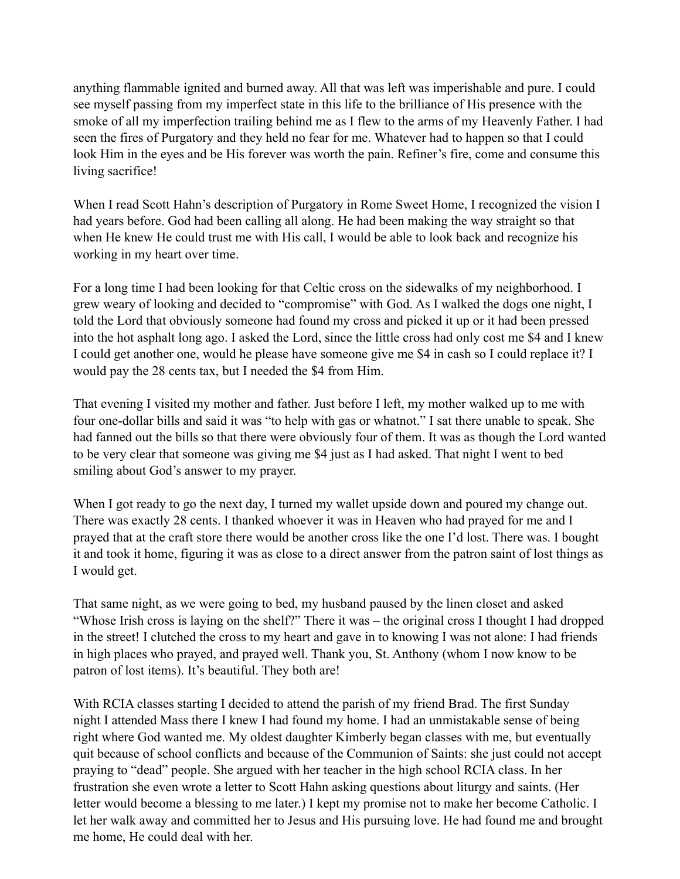anything flammable ignited and burned away. All that was left was imperishable and pure. I could see myself passing from my imperfect state in this life to the brilliance of His presence with the smoke of all my imperfection trailing behind me as I flew to the arms of my Heavenly Father. I had seen the fires of Purgatory and they held no fear for me. Whatever had to happen so that I could look Him in the eyes and be His forever was worth the pain. Refiner's fire, come and consume this living sacrifice!

When I read Scott Hahn's description of Purgatory in Rome Sweet Home, I recognized the vision I had years before. God had been calling all along. He had been making the way straight so that when He knew He could trust me with His call, I would be able to look back and recognize his working in my heart over time.

For a long time I had been looking for that Celtic cross on the sidewalks of my neighborhood. I grew weary of looking and decided to "compromise" with God. As I walked the dogs one night, I told the Lord that obviously someone had found my cross and picked it up or it had been pressed into the hot asphalt long ago. I asked the Lord, since the little cross had only cost me \$4 and I knew I could get another one, would he please have someone give me \$4 in cash so I could replace it? I would pay the 28 cents tax, but I needed the \$4 from Him.

That evening I visited my mother and father. Just before I left, my mother walked up to me with four one-dollar bills and said it was "to help with gas or whatnot." I sat there unable to speak. She had fanned out the bills so that there were obviously four of them. It was as though the Lord wanted to be very clear that someone was giving me \$4 just as I had asked. That night I went to bed smiling about God's answer to my prayer.

When I got ready to go the next day, I turned my wallet upside down and poured my change out. There was exactly 28 cents. I thanked whoever it was in Heaven who had prayed for me and I prayed that at the craft store there would be another cross like the one I'd lost. There was. I bought it and took it home, figuring it was as close to a direct answer from the patron saint of lost things as I would get.

That same night, as we were going to bed, my husband paused by the linen closet and asked "Whose Irish cross is laying on the shelf?" There it was – the original cross I thought I had dropped in the street! I clutched the cross to my heart and gave in to knowing I was not alone: I had friends in high places who prayed, and prayed well. Thank you, St. Anthony (whom I now know to be patron of lost items). It's beautiful. They both are!

With RCIA classes starting I decided to attend the parish of my friend Brad. The first Sunday night I attended Mass there I knew I had found my home. I had an unmistakable sense of being right where God wanted me. My oldest daughter Kimberly began classes with me, but eventually quit because of school conflicts and because of the Communion of Saints: she just could not accept praying to "dead" people. She argued with her teacher in the high school RCIA class. In her frustration she even wrote a letter to Scott Hahn asking questions about liturgy and saints. (Her letter would become a blessing to me later.) I kept my promise not to make her become Catholic. I let her walk away and committed her to Jesus and His pursuing love. He had found me and brought me home, He could deal with her.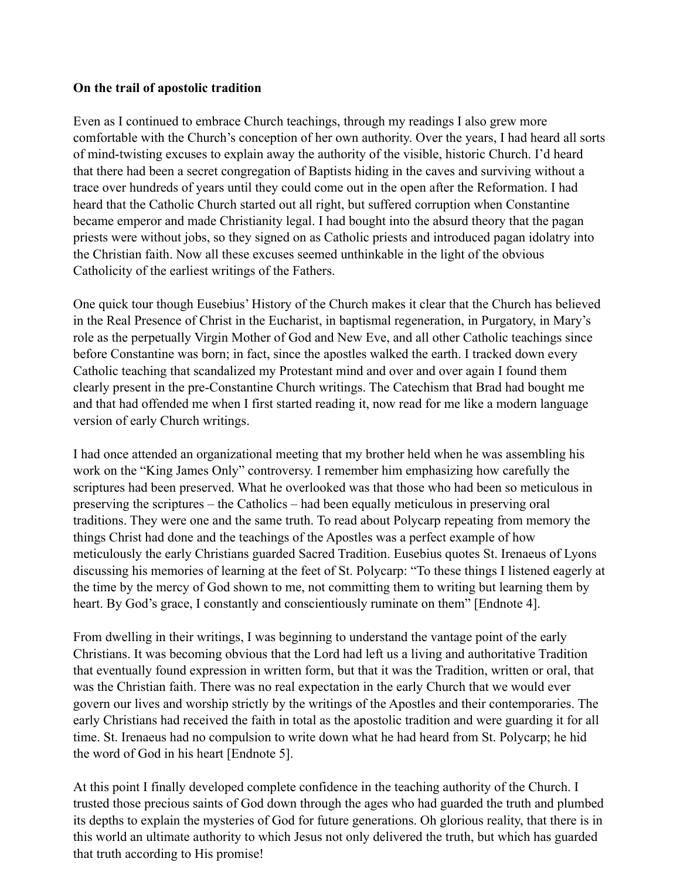#### **On the trail of apostolic tradition**

Even as I continued to embrace Church teachings, through my readings I also grew more comfortable with the Church's conception of her own authority. Over the years, I had heard all sorts of mind-twisting excuses to explain away the authority of the visible, historic Church. I'd heard that there had been a secret congregation of Baptists hiding in the caves and surviving without a trace over hundreds of years until they could come out in the open after the Reformation. I had heard that the Catholic Church started out all right, but suffered corruption when Constantine became emperor and made Christianity legal. I had bought into the absurd theory that the pagan priests were without jobs, so they signed on as Catholic priests and introduced pagan idolatry into the Christian faith. Now all these excuses seemed unthinkable in the light of the obvious Catholicity of the earliest writings of the Fathers.

One quick tour though Eusebius' History of the Church makes it clear that the Church has believed in the Real Presence of Christ in the Eucharist, in baptismal regeneration, in Purgatory, in Mary's role as the perpetually Virgin Mother of God and New Eve, and all other Catholic teachings since before Constantine was born; in fact, since the apostles walked the earth. I tracked down every Catholic teaching that scandalized my Protestant mind and over and over again I found them clearly present in the pre-Constantine Church writings. The Catechism that Brad had bought me and that had offended me when I first started reading it, now read for me like a modern language version of early Church writings.

I had once attended an organizational meeting that my brother held when he was assembling his work on the "King James Only" controversy. I remember him emphasizing how carefully the scriptures had been preserved. What he overlooked was that those who had been so meticulous in preserving the scriptures – the Catholics – had been equally meticulous in preserving oral traditions. They were one and the same truth. To read about Polycarp repeating from memory the things Christ had done and the teachings of the Apostles was a perfect example of how meticulously the early Christians guarded Sacred Tradition. Eusebius quotes St. Irenaeus of Lyons discussing his memories of learning at the feet of St. Polycarp: "To these things I listened eagerly at the time by the mercy of God shown to me, not committing them to writing but learning them by heart. By God's grace, I constantly and conscientiously ruminate on them" [Endnote 4].

From dwelling in their writings, I was beginning to understand the vantage point of the early Christians. It was becoming obvious that the Lord had left us a living and authoritative Tradition that eventually found expression in written form, but that it was the Tradition, written or oral, that was the Christian faith. There was no real expectation in the early Church that we would ever govern our lives and worship strictly by the writings of the Apostles and their contemporaries. The early Christians had received the faith in total as the apostolic tradition and were guarding it for all time. St. Irenaeus had no compulsion to write down what he had heard from St. Polycarp; he hid the word of God in his heart [Endnote 5].

At this point I finally developed complete confidence in the teaching authority of the Church. I trusted those precious saints of God down through the ages who had guarded the truth and plumbed its depths to explain the mysteries of God for future generations. Oh glorious reality, that there is in this world an ultimate authority to which Jesus not only delivered the truth, but which has guarded that truth according to His promise!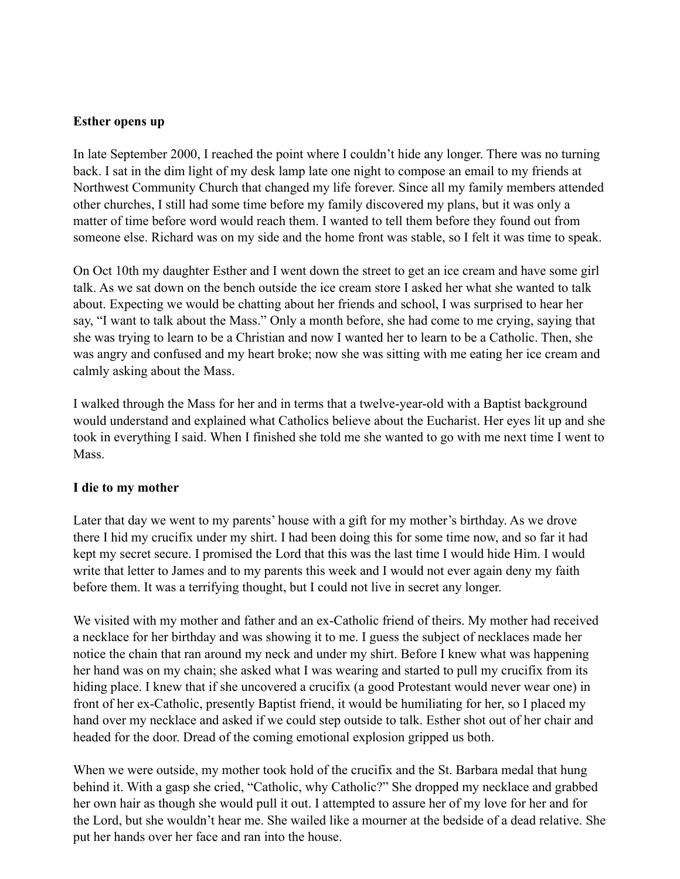#### **Esther opens up**

In late September 2000, I reached the point where I couldn't hide any longer. There was no turning back. I sat in the dim light of my desk lamp late one night to compose an email to my friends at Northwest Community Church that changed my life forever. Since all my family members attended other churches, I still had some time before my family discovered my plans, but it was only a matter of time before word would reach them. I wanted to tell them before they found out from someone else. Richard was on my side and the home front was stable, so I felt it was time to speak.

On Oct 10th my daughter Esther and I went down the street to get an ice cream and have some girl talk. As we sat down on the bench outside the ice cream store I asked her what she wanted to talk about. Expecting we would be chatting about her friends and school, I was surprised to hear her say, "I want to talk about the Mass." Only a month before, she had come to me crying, saying that she was trying to learn to be a Christian and now I wanted her to learn to be a Catholic. Then, she was angry and confused and my heart broke; now she was sitting with me eating her ice cream and calmly asking about the Mass.

I walked through the Mass for her and in terms that a twelve-year-old with a Baptist background would understand and explained what Catholics believe about the Eucharist. Her eyes lit up and she took in everything I said. When I finished she told me she wanted to go with me next time I went to Mass.

### **I die to my mother**

Later that day we went to my parents' house with a gift for my mother's birthday. As we drove there I hid my crucifix under my shirt. I had been doing this for some time now, and so far it had kept my secret secure. I promised the Lord that this was the last time I would hide Him. I would write that letter to James and to my parents this week and I would not ever again deny my faith before them. It was a terrifying thought, but I could not live in secret any longer.

We visited with my mother and father and an ex-Catholic friend of theirs. My mother had received a necklace for her birthday and was showing it to me. I guess the subject of necklaces made her notice the chain that ran around my neck and under my shirt. Before I knew what was happening her hand was on my chain; she asked what I was wearing and started to pull my crucifix from its hiding place. I knew that if she uncovered a crucifix (a good Protestant would never wear one) in front of her ex-Catholic, presently Baptist friend, it would be humiliating for her, so I placed my hand over my necklace and asked if we could step outside to talk. Esther shot out of her chair and headed for the door. Dread of the coming emotional explosion gripped us both.

When we were outside, my mother took hold of the crucifix and the St. Barbara medal that hung behind it. With a gasp she cried, "Catholic, why Catholic?" She dropped my necklace and grabbed her own hair as though she would pull it out. I attempted to assure her of my love for her and for the Lord, but she wouldn't hear me. She wailed like a mourner at the bedside of a dead relative. She put her hands over her face and ran into the house.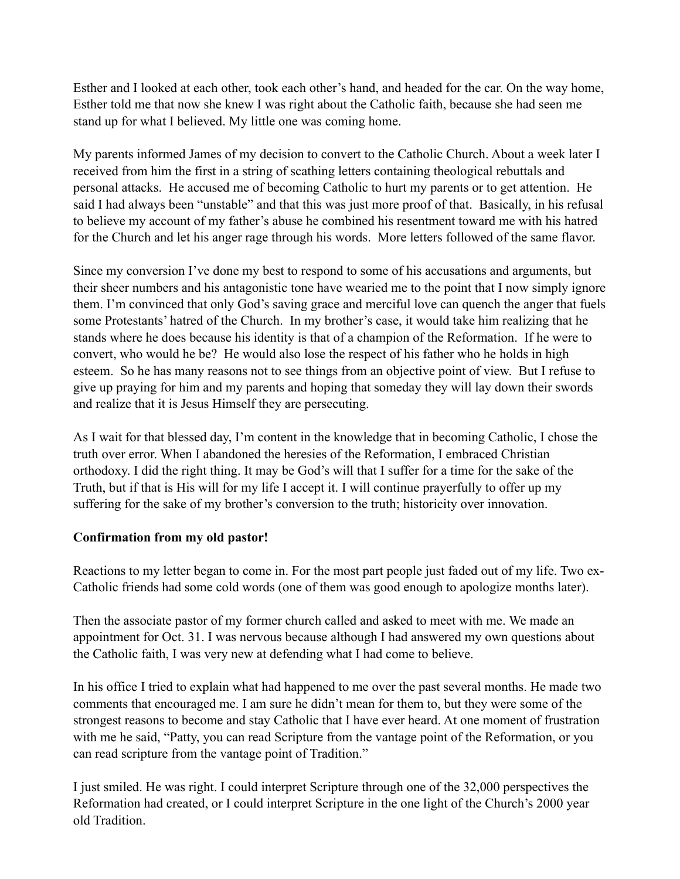Esther and I looked at each other, took each other's hand, and headed for the car. On the way home, Esther told me that now she knew I was right about the Catholic faith, because she had seen me stand up for what I believed. My little one was coming home.

My parents informed James of my decision to convert to the Catholic Church. About a week later I received from him the first in a string of scathing letters containing theological rebuttals and personal attacks. He accused me of becoming Catholic to hurt my parents or to get attention. He said I had always been "unstable" and that this was just more proof of that. Basically, in his refusal to believe my account of my father's abuse he combined his resentment toward me with his hatred for the Church and let his anger rage through his words. More letters followed of the same flavor.

Since my conversion I've done my best to respond to some of his accusations and arguments, but their sheer numbers and his antagonistic tone have wearied me to the point that I now simply ignore them. I'm convinced that only God's saving grace and merciful love can quench the anger that fuels some Protestants' hatred of the Church. In my brother's case, it would take him realizing that he stands where he does because his identity is that of a champion of the Reformation. If he were to convert, who would he be? He would also lose the respect of his father who he holds in high esteem. So he has many reasons not to see things from an objective point of view. But I refuse to give up praying for him and my parents and hoping that someday they will lay down their swords and realize that it is Jesus Himself they are persecuting.

As I wait for that blessed day, I'm content in the knowledge that in becoming Catholic, I chose the truth over error. When I abandoned the heresies of the Reformation, I embraced Christian orthodoxy. I did the right thing. It may be God's will that I suffer for a time for the sake of the Truth, but if that is His will for my life I accept it. I will continue prayerfully to offer up my suffering for the sake of my brother's conversion to the truth; historicity over innovation.

### **Confirmation from my old pastor!**

Reactions to my letter began to come in. For the most part people just faded out of my life. Two ex-Catholic friends had some cold words (one of them was good enough to apologize months later).

Then the associate pastor of my former church called and asked to meet with me. We made an appointment for Oct. 31. I was nervous because although I had answered my own questions about the Catholic faith, I was very new at defending what I had come to believe.

In his office I tried to explain what had happened to me over the past several months. He made two comments that encouraged me. I am sure he didn't mean for them to, but they were some of the strongest reasons to become and stay Catholic that I have ever heard. At one moment of frustration with me he said, "Patty, you can read Scripture from the vantage point of the Reformation, or you can read scripture from the vantage point of Tradition."

I just smiled. He was right. I could interpret Scripture through one of the 32,000 perspectives the Reformation had created, or I could interpret Scripture in the one light of the Church's 2000 year old Tradition.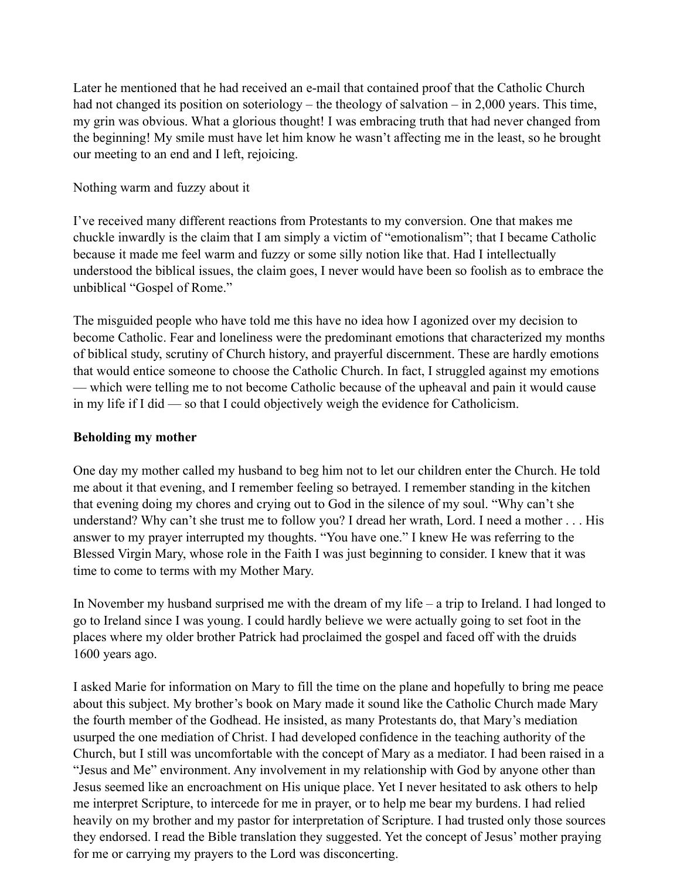Later he mentioned that he had received an e-mail that contained proof that the Catholic Church had not changed its position on soteriology – the theology of salvation – in 2,000 years. This time, my grin was obvious. What a glorious thought! I was embracing truth that had never changed from the beginning! My smile must have let him know he wasn't affecting me in the least, so he brought our meeting to an end and I left, rejoicing.

#### Nothing warm and fuzzy about it

I've received many different reactions from Protestants to my conversion. One that makes me chuckle inwardly is the claim that I am simply a victim of "emotionalism"; that I became Catholic because it made me feel warm and fuzzy or some silly notion like that. Had I intellectually understood the biblical issues, the claim goes, I never would have been so foolish as to embrace the unbiblical "Gospel of Rome."

The misguided people who have told me this have no idea how I agonized over my decision to become Catholic. Fear and loneliness were the predominant emotions that characterized my months of biblical study, scrutiny of Church history, and prayerful discernment. These are hardly emotions that would entice someone to choose the Catholic Church. In fact, I struggled against my emotions — which were telling me to not become Catholic because of the upheaval and pain it would cause in my life if I did — so that I could objectively weigh the evidence for Catholicism.

#### **Beholding my mother**

One day my mother called my husband to beg him not to let our children enter the Church. He told me about it that evening, and I remember feeling so betrayed. I remember standing in the kitchen that evening doing my chores and crying out to God in the silence of my soul. "Why can't she understand? Why can't she trust me to follow you? I dread her wrath, Lord. I need a mother . . . His answer to my prayer interrupted my thoughts. "You have one." I knew He was referring to the Blessed Virgin Mary, whose role in the Faith I was just beginning to consider. I knew that it was time to come to terms with my Mother Mary.

In November my husband surprised me with the dream of my life – a trip to Ireland. I had longed to go to Ireland since I was young. I could hardly believe we were actually going to set foot in the places where my older brother Patrick had proclaimed the gospel and faced off with the druids 1600 years ago.

I asked Marie for information on Mary to fill the time on the plane and hopefully to bring me peace about this subject. My brother's book on Mary made it sound like the Catholic Church made Mary the fourth member of the Godhead. He insisted, as many Protestants do, that Mary's mediation usurped the one mediation of Christ. I had developed confidence in the teaching authority of the Church, but I still was uncomfortable with the concept of Mary as a mediator. I had been raised in a "Jesus and Me" environment. Any involvement in my relationship with God by anyone other than Jesus seemed like an encroachment on His unique place. Yet I never hesitated to ask others to help me interpret Scripture, to intercede for me in prayer, or to help me bear my burdens. I had relied heavily on my brother and my pastor for interpretation of Scripture. I had trusted only those sources they endorsed. I read the Bible translation they suggested. Yet the concept of Jesus' mother praying for me or carrying my prayers to the Lord was disconcerting.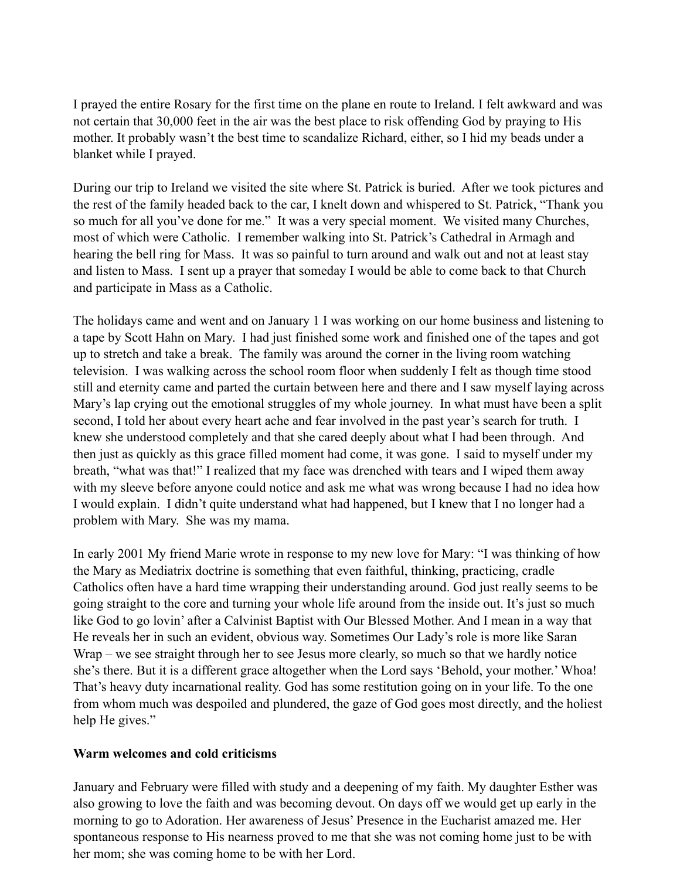I prayed the entire Rosary for the first time on the plane en route to Ireland. I felt awkward and was not certain that 30,000 feet in the air was the best place to risk offending God by praying to His mother. It probably wasn't the best time to scandalize Richard, either, so I hid my beads under a blanket while I prayed.

During our trip to Ireland we visited the site where St. Patrick is buried. After we took pictures and the rest of the family headed back to the car, I knelt down and whispered to St. Patrick, "Thank you so much for all you've done for me." It was a very special moment. We visited many Churches, most of which were Catholic. I remember walking into St. Patrick's Cathedral in Armagh and hearing the bell ring for Mass. It was so painful to turn around and walk out and not at least stay and listen to Mass. I sent up a prayer that someday I would be able to come back to that Church and participate in Mass as a Catholic.

The holidays came and went and on January 1 I was working on our home business and listening to a tape by Scott Hahn on Mary. I had just finished some work and finished one of the tapes and got up to stretch and take a break. The family was around the corner in the living room watching television. I was walking across the school room floor when suddenly I felt as though time stood still and eternity came and parted the curtain between here and there and I saw myself laying across Mary's lap crying out the emotional struggles of my whole journey. In what must have been a split second, I told her about every heart ache and fear involved in the past year's search for truth. I knew she understood completely and that she cared deeply about what I had been through. And then just as quickly as this grace filled moment had come, it was gone. I said to myself under my breath, "what was that!" I realized that my face was drenched with tears and I wiped them away with my sleeve before anyone could notice and ask me what was wrong because I had no idea how I would explain. I didn't quite understand what had happened, but I knew that I no longer had a problem with Mary. She was my mama.

In early 2001 My friend Marie wrote in response to my new love for Mary: "I was thinking of how the Mary as Mediatrix doctrine is something that even faithful, thinking, practicing, cradle Catholics often have a hard time wrapping their understanding around. God just really seems to be going straight to the core and turning your whole life around from the inside out. It's just so much like God to go lovin' after a Calvinist Baptist with Our Blessed Mother. And I mean in a way that He reveals her in such an evident, obvious way. Sometimes Our Lady's role is more like Saran Wrap – we see straight through her to see Jesus more clearly, so much so that we hardly notice she's there. But it is a different grace altogether when the Lord says 'Behold, your mother.' Whoa! That's heavy duty incarnational reality. God has some restitution going on in your life. To the one from whom much was despoiled and plundered, the gaze of God goes most directly, and the holiest help He gives."

### **Warm welcomes and cold criticisms**

January and February were filled with study and a deepening of my faith. My daughter Esther was also growing to love the faith and was becoming devout. On days off we would get up early in the morning to go to Adoration. Her awareness of Jesus' Presence in the Eucharist amazed me. Her spontaneous response to His nearness proved to me that she was not coming home just to be with her mom; she was coming home to be with her Lord.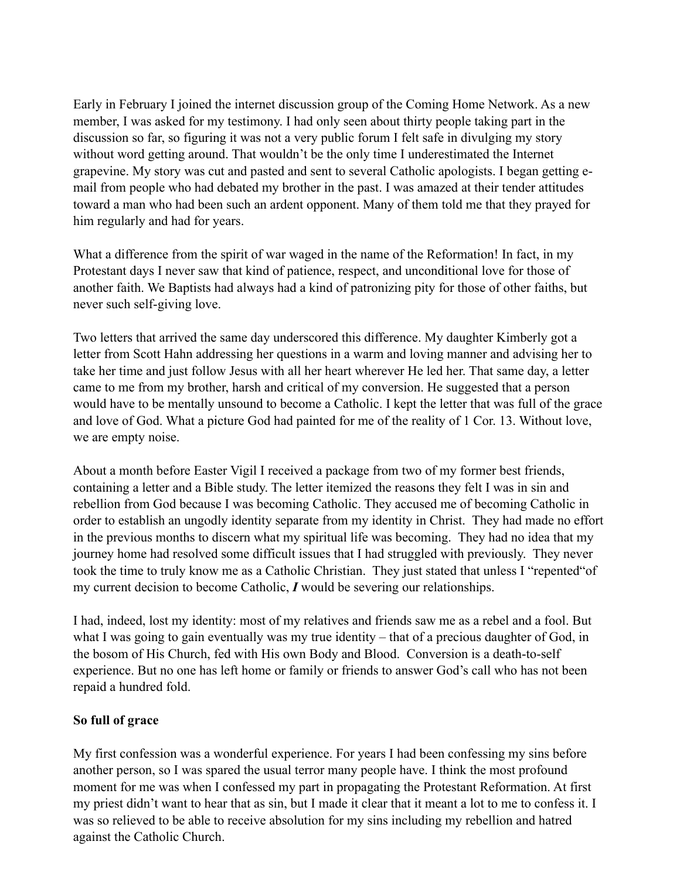Early in February I joined the internet discussion group of the Coming Home Network. As a new member, I was asked for my testimony. I had only seen about thirty people taking part in the discussion so far, so figuring it was not a very public forum I felt safe in divulging my story without word getting around. That wouldn't be the only time I underestimated the Internet grapevine. My story was cut and pasted and sent to several Catholic apologists. I began getting email from people who had debated my brother in the past. I was amazed at their tender attitudes toward a man who had been such an ardent opponent. Many of them told me that they prayed for him regularly and had for years.

What a difference from the spirit of war waged in the name of the Reformation! In fact, in my Protestant days I never saw that kind of patience, respect, and unconditional love for those of another faith. We Baptists had always had a kind of patronizing pity for those of other faiths, but never such self-giving love.

Two letters that arrived the same day underscored this difference. My daughter Kimberly got a letter from Scott Hahn addressing her questions in a warm and loving manner and advising her to take her time and just follow Jesus with all her heart wherever He led her. That same day, a letter came to me from my brother, harsh and critical of my conversion. He suggested that a person would have to be mentally unsound to become a Catholic. I kept the letter that was full of the grace and love of God. What a picture God had painted for me of the reality of 1 Cor. 13. Without love, we are empty noise.

About a month before Easter Vigil I received a package from two of my former best friends, containing a letter and a Bible study. The letter itemized the reasons they felt I was in sin and rebellion from God because I was becoming Catholic. They accused me of becoming Catholic in order to establish an ungodly identity separate from my identity in Christ. They had made no effort in the previous months to discern what my spiritual life was becoming. They had no idea that my journey home had resolved some difficult issues that I had struggled with previously. They never took the time to truly know me as a Catholic Christian. They just stated that unless I "repented"of my current decision to become Catholic, *I* would be severing our relationships.

I had, indeed, lost my identity: most of my relatives and friends saw me as a rebel and a fool. But what I was going to gain eventually was my true identity – that of a precious daughter of God, in the bosom of His Church, fed with His own Body and Blood. Conversion is a death-to-self experience. But no one has left home or family or friends to answer God's call who has not been repaid a hundred fold.

### **So full of grace**

My first confession was a wonderful experience. For years I had been confessing my sins before another person, so I was spared the usual terror many people have. I think the most profound moment for me was when I confessed my part in propagating the Protestant Reformation. At first my priest didn't want to hear that as sin, but I made it clear that it meant a lot to me to confess it. I was so relieved to be able to receive absolution for my sins including my rebellion and hatred against the Catholic Church.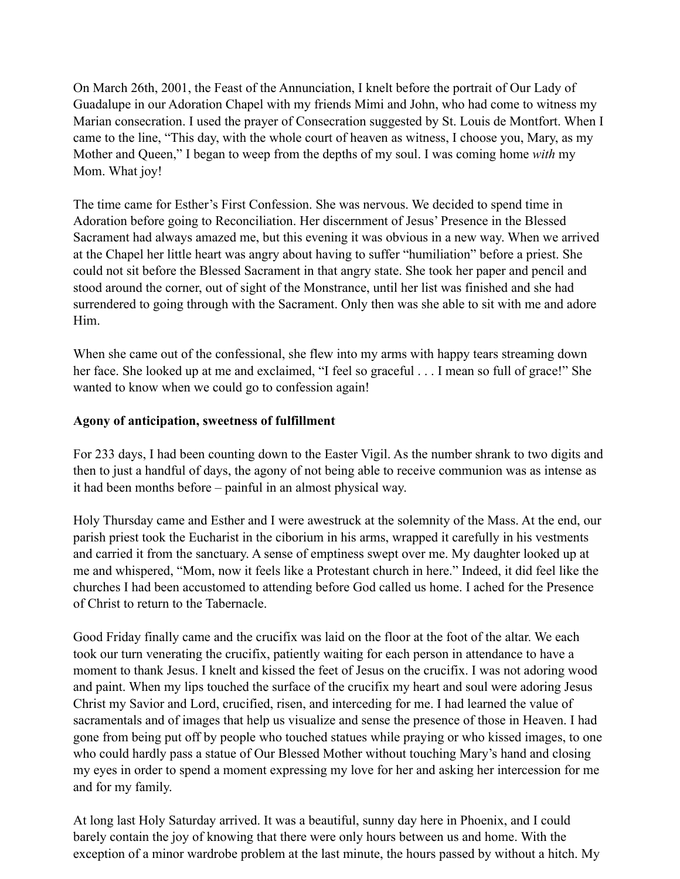On March 26th, 2001, the Feast of the Annunciation, I knelt before the portrait of Our Lady of Guadalupe in our Adoration Chapel with my friends Mimi and John, who had come to witness my Marian consecration. I used the prayer of Consecration suggested by St. Louis de Montfort. When I came to the line, "This day, with the whole court of heaven as witness, I choose you, Mary, as my Mother and Queen," I began to weep from the depths of my soul. I was coming home *with* my Mom. What joy!

The time came for Esther's First Confession. She was nervous. We decided to spend time in Adoration before going to Reconciliation. Her discernment of Jesus' Presence in the Blessed Sacrament had always amazed me, but this evening it was obvious in a new way. When we arrived at the Chapel her little heart was angry about having to suffer "humiliation" before a priest. She could not sit before the Blessed Sacrament in that angry state. She took her paper and pencil and stood around the corner, out of sight of the Monstrance, until her list was finished and she had surrendered to going through with the Sacrament. Only then was she able to sit with me and adore Him.

When she came out of the confessional, she flew into my arms with happy tears streaming down her face. She looked up at me and exclaimed, "I feel so graceful . . . I mean so full of grace!" She wanted to know when we could go to confession again!

### **Agony of anticipation, sweetness of fulfillment**

For 233 days, I had been counting down to the Easter Vigil. As the number shrank to two digits and then to just a handful of days, the agony of not being able to receive communion was as intense as it had been months before – painful in an almost physical way.

Holy Thursday came and Esther and I were awestruck at the solemnity of the Mass. At the end, our parish priest took the Eucharist in the ciborium in his arms, wrapped it carefully in his vestments and carried it from the sanctuary. A sense of emptiness swept over me. My daughter looked up at me and whispered, "Mom, now it feels like a Protestant church in here." Indeed, it did feel like the churches I had been accustomed to attending before God called us home. I ached for the Presence of Christ to return to the Tabernacle.

Good Friday finally came and the crucifix was laid on the floor at the foot of the altar. We each took our turn venerating the crucifix, patiently waiting for each person in attendance to have a moment to thank Jesus. I knelt and kissed the feet of Jesus on the crucifix. I was not adoring wood and paint. When my lips touched the surface of the crucifix my heart and soul were adoring Jesus Christ my Savior and Lord, crucified, risen, and interceding for me. I had learned the value of sacramentals and of images that help us visualize and sense the presence of those in Heaven. I had gone from being put off by people who touched statues while praying or who kissed images, to one who could hardly pass a statue of Our Blessed Mother without touching Mary's hand and closing my eyes in order to spend a moment expressing my love for her and asking her intercession for me and for my family.

At long last Holy Saturday arrived. It was a beautiful, sunny day here in Phoenix, and I could barely contain the joy of knowing that there were only hours between us and home. With the exception of a minor wardrobe problem at the last minute, the hours passed by without a hitch. My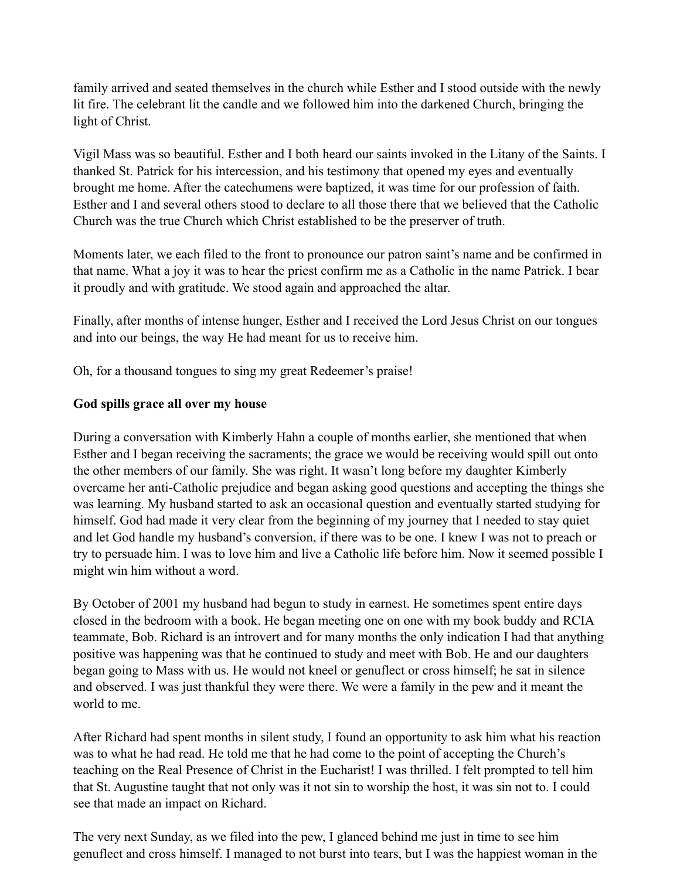family arrived and seated themselves in the church while Esther and I stood outside with the newly lit fire. The celebrant lit the candle and we followed him into the darkened Church, bringing the light of Christ.

Vigil Mass was so beautiful. Esther and I both heard our saints invoked in the Litany of the Saints. I thanked St. Patrick for his intercession, and his testimony that opened my eyes and eventually brought me home. After the catechumens were baptized, it was time for our profession of faith. Esther and I and several others stood to declare to all those there that we believed that the Catholic Church was the true Church which Christ established to be the preserver of truth.

Moments later, we each filed to the front to pronounce our patron saint's name and be confirmed in that name. What a joy it was to hear the priest confirm me as a Catholic in the name Patrick. I bear it proudly and with gratitude. We stood again and approached the altar.

Finally, after months of intense hunger, Esther and I received the Lord Jesus Christ on our tongues and into our beings, the way He had meant for us to receive him.

Oh, for a thousand tongues to sing my great Redeemer's praise!

## **God spills grace all over my house**

During a conversation with Kimberly Hahn a couple of months earlier, she mentioned that when Esther and I began receiving the sacraments; the grace we would be receiving would spill out onto the other members of our family. She was right. It wasn't long before my daughter Kimberly overcame her anti-Catholic prejudice and began asking good questions and accepting the things she was learning. My husband started to ask an occasional question and eventually started studying for himself. God had made it very clear from the beginning of my journey that I needed to stay quiet and let God handle my husband's conversion, if there was to be one. I knew I was not to preach or try to persuade him. I was to love him and live a Catholic life before him. Now it seemed possible I might win him without a word.

By October of 2001 my husband had begun to study in earnest. He sometimes spent entire days closed in the bedroom with a book. He began meeting one on one with my book buddy and RCIA teammate, Bob. Richard is an introvert and for many months the only indication I had that anything positive was happening was that he continued to study and meet with Bob. He and our daughters began going to Mass with us. He would not kneel or genuflect or cross himself; he sat in silence and observed. I was just thankful they were there. We were a family in the pew and it meant the world to me.

After Richard had spent months in silent study, I found an opportunity to ask him what his reaction was to what he had read. He told me that he had come to the point of accepting the Church's teaching on the Real Presence of Christ in the Eucharist! I was thrilled. I felt prompted to tell him that St. Augustine taught that not only was it not sin to worship the host, it was sin not to. I could see that made an impact on Richard.

The very next Sunday, as we filed into the pew, I glanced behind me just in time to see him genuflect and cross himself. I managed to not burst into tears, but I was the happiest woman in the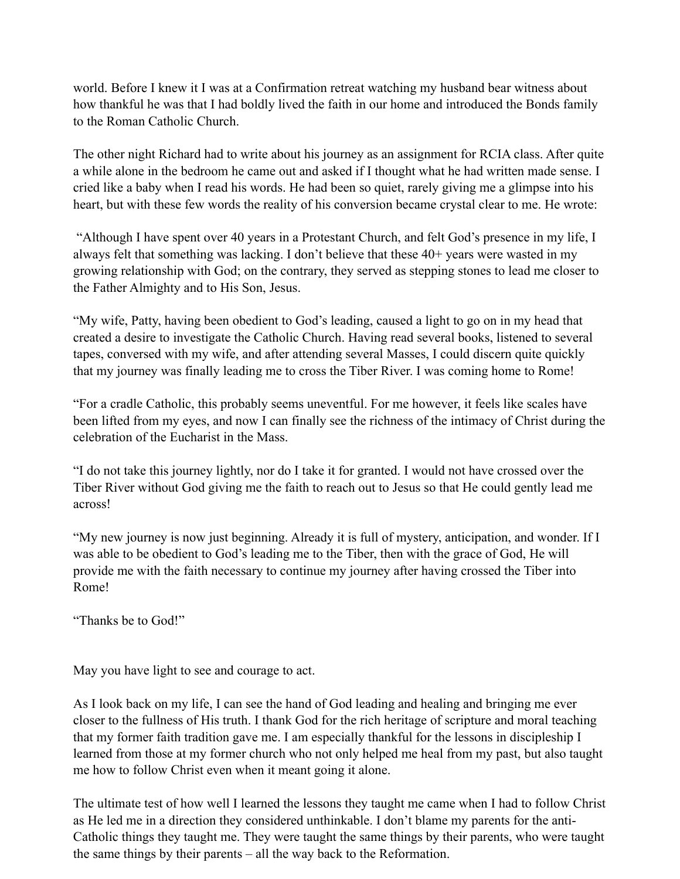world. Before I knew it I was at a Confirmation retreat watching my husband bear witness about how thankful he was that I had boldly lived the faith in our home and introduced the Bonds family to the Roman Catholic Church.

The other night Richard had to write about his journey as an assignment for RCIA class. After quite a while alone in the bedroom he came out and asked if I thought what he had written made sense. I cried like a baby when I read his words. He had been so quiet, rarely giving me a glimpse into his heart, but with these few words the reality of his conversion became crystal clear to me. He wrote:

 "Although I have spent over 40 years in a Protestant Church, and felt God's presence in my life, I always felt that something was lacking. I don't believe that these 40+ years were wasted in my growing relationship with God; on the contrary, they served as stepping stones to lead me closer to the Father Almighty and to His Son, Jesus.

"My wife, Patty, having been obedient to God's leading, caused a light to go on in my head that created a desire to investigate the Catholic Church. Having read several books, listened to several tapes, conversed with my wife, and after attending several Masses, I could discern quite quickly that my journey was finally leading me to cross the Tiber River. I was coming home to Rome!

"For a cradle Catholic, this probably seems uneventful. For me however, it feels like scales have been lifted from my eyes, and now I can finally see the richness of the intimacy of Christ during the celebration of the Eucharist in the Mass.

"I do not take this journey lightly, nor do I take it for granted. I would not have crossed over the Tiber River without God giving me the faith to reach out to Jesus so that He could gently lead me across!

"My new journey is now just beginning. Already it is full of mystery, anticipation, and wonder. If I was able to be obedient to God's leading me to the Tiber, then with the grace of God, He will provide me with the faith necessary to continue my journey after having crossed the Tiber into Rome!

"Thanks be to God!"

May you have light to see and courage to act.

As I look back on my life, I can see the hand of God leading and healing and bringing me ever closer to the fullness of His truth. I thank God for the rich heritage of scripture and moral teaching that my former faith tradition gave me. I am especially thankful for the lessons in discipleship I learned from those at my former church who not only helped me heal from my past, but also taught me how to follow Christ even when it meant going it alone.

The ultimate test of how well I learned the lessons they taught me came when I had to follow Christ as He led me in a direction they considered unthinkable. I don't blame my parents for the anti-Catholic things they taught me. They were taught the same things by their parents, who were taught the same things by their parents – all the way back to the Reformation.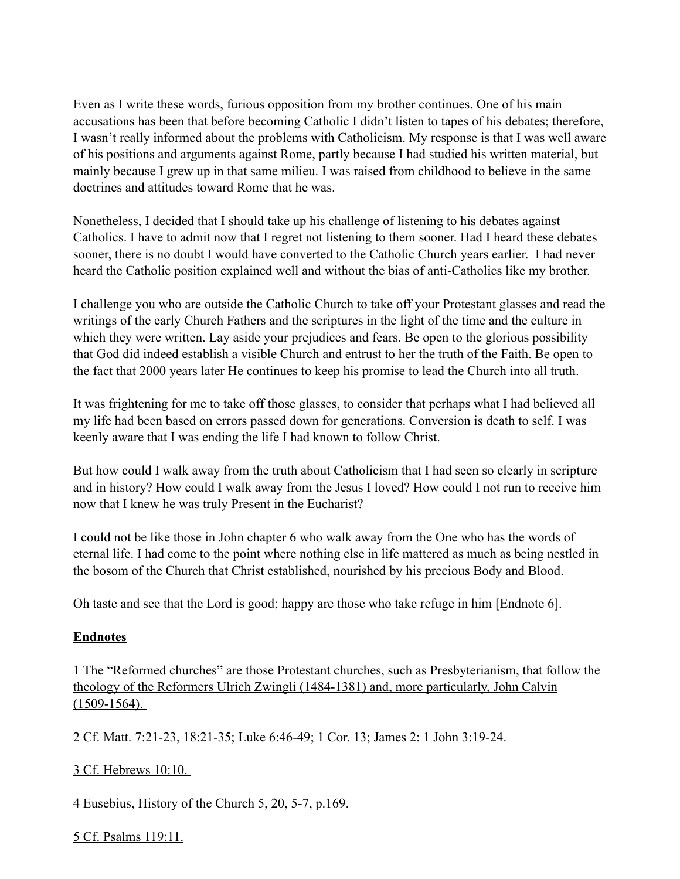Even as I write these words, furious opposition from my brother continues. One of his main accusations has been that before becoming Catholic I didn't listen to tapes of his debates; therefore, I wasn't really informed about the problems with Catholicism. My response is that I was well aware of his positions and arguments against Rome, partly because I had studied his written material, but mainly because I grew up in that same milieu. I was raised from childhood to believe in the same doctrines and attitudes toward Rome that he was.

Nonetheless, I decided that I should take up his challenge of listening to his debates against Catholics. I have to admit now that I regret not listening to them sooner. Had I heard these debates sooner, there is no doubt I would have converted to the Catholic Church years earlier. I had never heard the Catholic position explained well and without the bias of anti-Catholics like my brother.

I challenge you who are outside the Catholic Church to take off your Protestant glasses and read the writings of the early Church Fathers and the scriptures in the light of the time and the culture in which they were written. Lay aside your prejudices and fears. Be open to the glorious possibility that God did indeed establish a visible Church and entrust to her the truth of the Faith. Be open to the fact that 2000 years later He continues to keep his promise to lead the Church into all truth.

It was frightening for me to take off those glasses, to consider that perhaps what I had believed all my life had been based on errors passed down for generations. Conversion is death to self. I was keenly aware that I was ending the life I had known to follow Christ.

But how could I walk away from the truth about Catholicism that I had seen so clearly in scripture and in history? How could I walk away from the Jesus I loved? How could I not run to receive him now that I knew he was truly Present in the Eucharist?

I could not be like those in John chapter 6 who walk away from the One who has the words of eternal life. I had come to the point where nothing else in life mattered as much as being nestled in the bosom of the Church that Christ established, nourished by his precious Body and Blood.

Oh taste and see that the Lord is good; happy are those who take refuge in him [Endnote 6].

### **Endnotes**

1 The "Reformed churches" are those Protestant churches, such as Presbyterianism, that follow the theology of the Reformers Ulrich Zwingli (1484-1381) and, more particularly, John Calvin  $(1509-1564)$ .

2 Cf. Matt. 7:21-23, 18:21-35; Luke 6:46-49; 1 Cor. 13; James 2: 1 John 3:19-24.

3 Cf. Hebrews 10:10.

4 Eusebius, History of the Church 5, 20, 5-7, p.169.

5 Cf. Psalms 119:11.